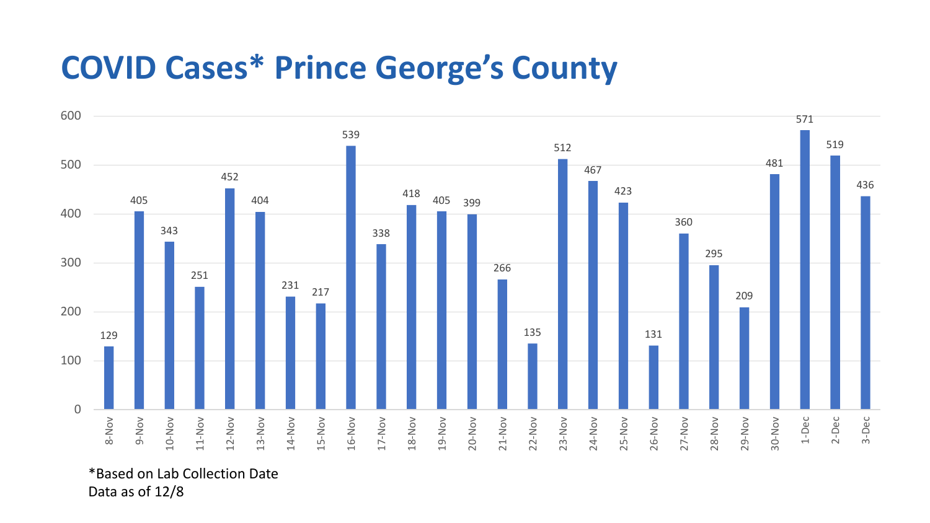## **COVID Cases\* Prince George's County**



\*Based on Lab Collection Date Data as of 12/8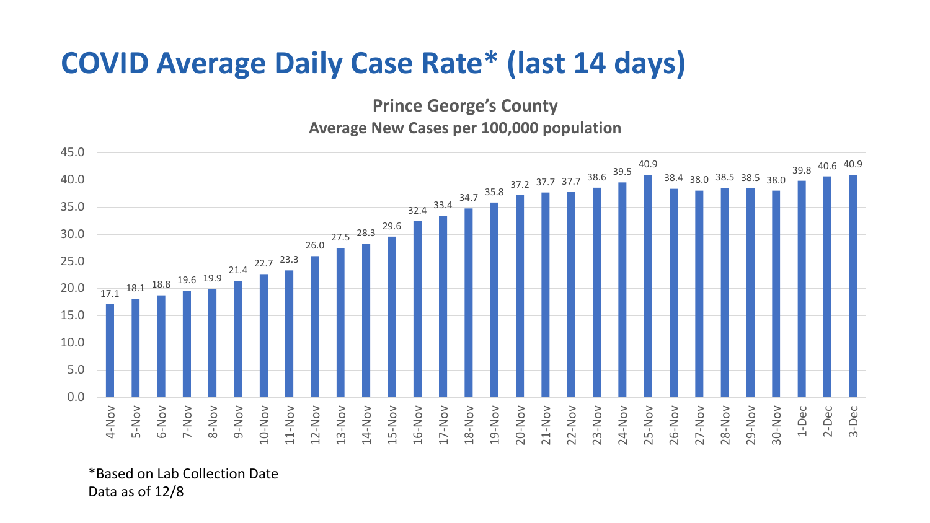## **COVID Average Daily Case Rate\* (last 14 days)**

**Prince George's County**

**Average New Cases per 100,000 population**



\*Based on Lab Collection Date Data as of 12/8